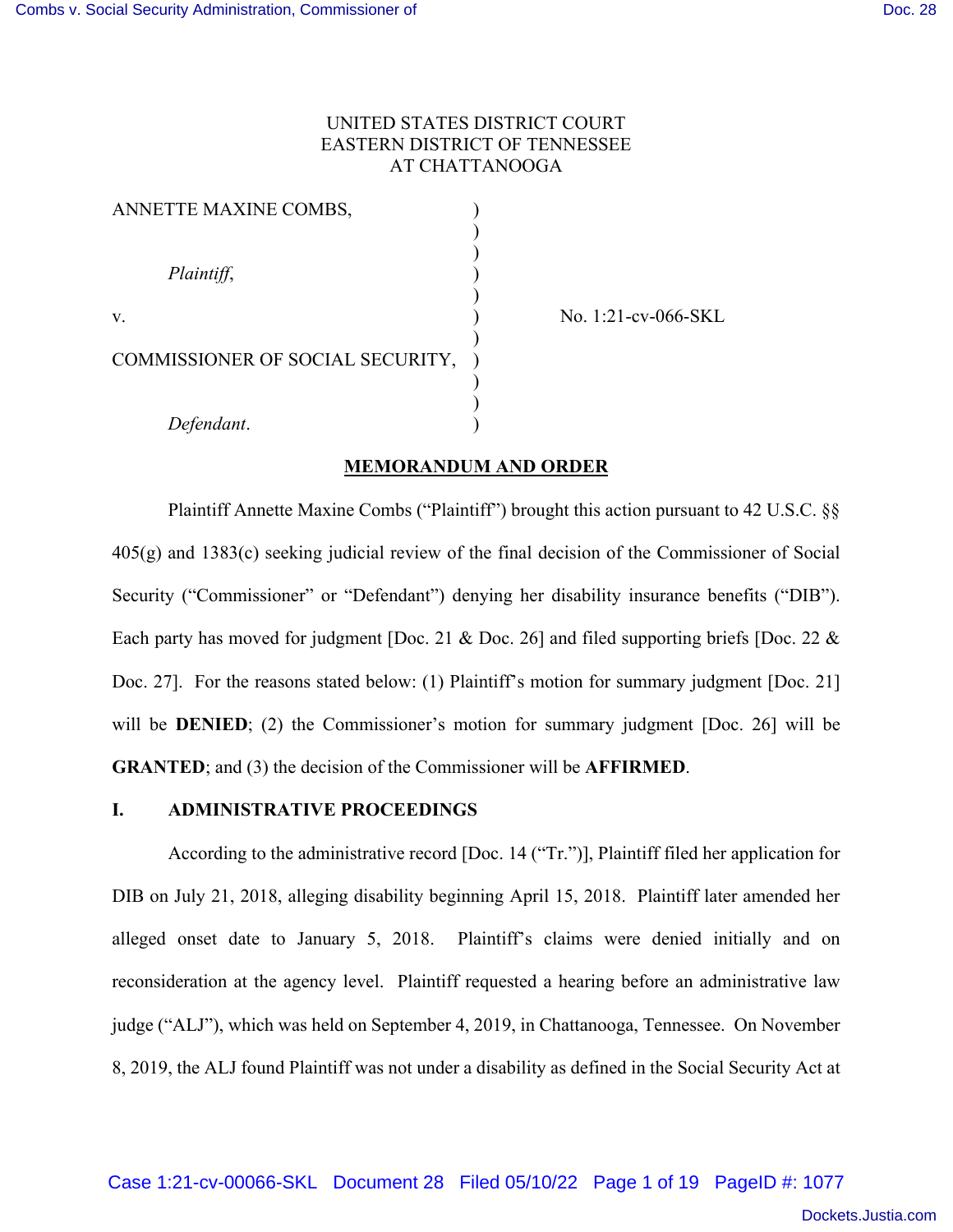# UNITED STATES DISTRICT COURT EASTERN DISTRICT OF TENNESSEE AT CHATTANOOGA

| ANNETTE MAXINE COMBS,            |  |
|----------------------------------|--|
|                                  |  |
|                                  |  |
| Plaintiff,                       |  |
|                                  |  |
| V.                               |  |
| COMMISSIONER OF SOCIAL SECURITY, |  |
|                                  |  |
|                                  |  |
| Defendant.                       |  |

No. 1:21-cv-066-SKL

# **MEMORANDUM AND ORDER**

 Plaintiff Annette Maxine Combs ("Plaintiff") brought this action pursuant to 42 U.S.C. §§ 405(g) and 1383(c) seeking judicial review of the final decision of the Commissioner of Social Security ("Commissioner" or "Defendant") denying her disability insurance benefits ("DIB"). Each party has moved for judgment [Doc. 21 & Doc. 26] and filed supporting briefs [Doc. 22 & Doc. 27]. For the reasons stated below: (1) Plaintiff's motion for summary judgment [Doc. 21] will be **DENIED**; (2) the Commissioner's motion for summary judgment [Doc. 26] will be **GRANTED**; and (3) the decision of the Commissioner will be **AFFIRMED**.

#### **I. ADMINISTRATIVE PROCEEDINGS**

According to the administrative record [Doc. 14 ("Tr.")], Plaintiff filed her application for DIB on July 21, 2018, alleging disability beginning April 15, 2018. Plaintiff later amended her alleged onset date to January 5, 2018. Plaintiff's claims were denied initially and on reconsideration at the agency level. Plaintiff requested a hearing before an administrative law judge ("ALJ"), which was held on September 4, 2019, in Chattanooga, Tennessee. On November 8, 2019, the ALJ found Plaintiff was not under a disability as defined in the Social Security Act at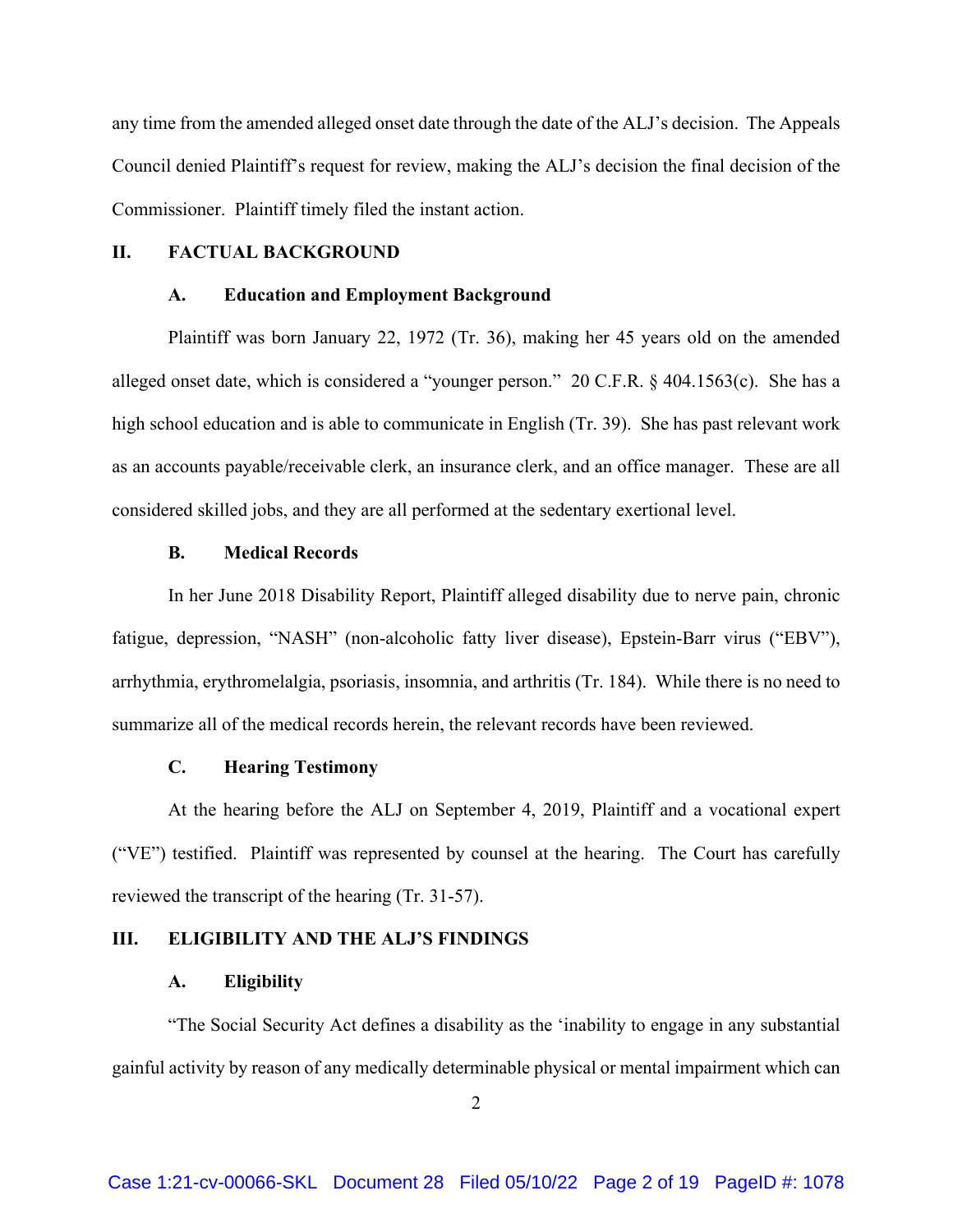any time from the amended alleged onset date through the date of the ALJ's decision. The Appeals Council denied Plaintiff's request for review, making the ALJ's decision the final decision of the Commissioner. Plaintiff timely filed the instant action.

## **II. FACTUAL BACKGROUND**

#### **A. Education and Employment Background**

Plaintiff was born January 22, 1972 (Tr. 36), making her 45 years old on the amended alleged onset date, which is considered a "younger person." 20 C.F.R.  $\&$  404.1563(c). She has a high school education and is able to communicate in English (Tr. 39). She has past relevant work as an accounts payable/receivable clerk, an insurance clerk, and an office manager. These are all considered skilled jobs, and they are all performed at the sedentary exertional level.

#### **B. Medical Records**

In her June 2018 Disability Report, Plaintiff alleged disability due to nerve pain, chronic fatigue, depression, "NASH" (non-alcoholic fatty liver disease), Epstein-Barr virus ("EBV"), arrhythmia, erythromelalgia, psoriasis, insomnia, and arthritis (Tr. 184). While there is no need to summarize all of the medical records herein, the relevant records have been reviewed.

## **C. Hearing Testimony**

 At the hearing before the ALJ on September 4, 2019, Plaintiff and a vocational expert ("VE") testified. Plaintiff was represented by counsel at the hearing. The Court has carefully reviewed the transcript of the hearing (Tr. 31-57).

## **III. ELIGIBILITY AND THE ALJ'S FINDINGS**

#### **A. Eligibility**

 "The Social Security Act defines a disability as the 'inability to engage in any substantial gainful activity by reason of any medically determinable physical or mental impairment which can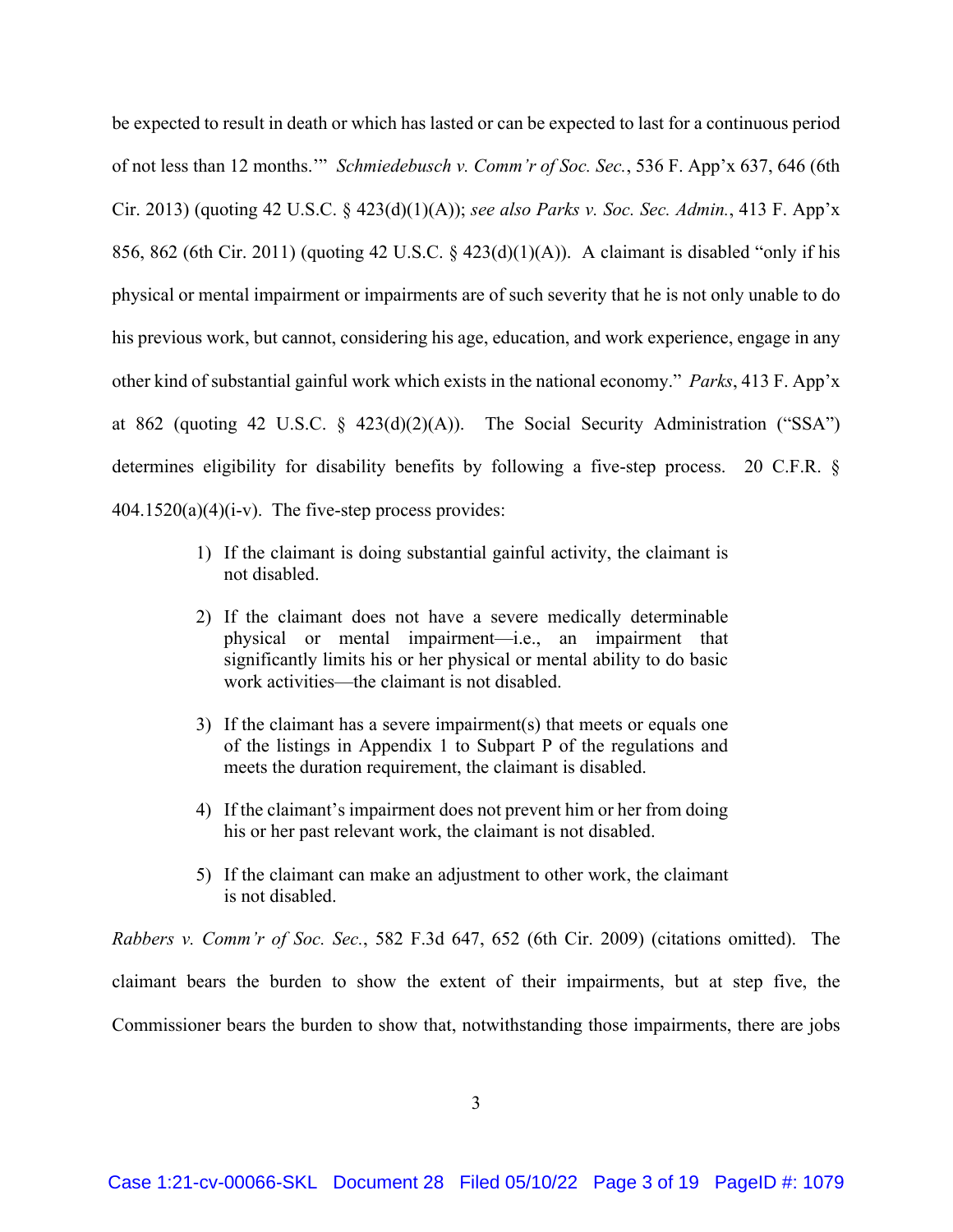be expected to result in death or which has lasted or can be expected to last for a continuous period of not less than 12 months.'" *Schmiedebusch v. Comm'r of Soc. Sec.*, 536 F. App'x 637, 646 (6th Cir. 2013) (quoting 42 U.S.C. § 423(d)(1)(A)); *see also Parks v. Soc. Sec. Admin.*, 413 F. App'x 856, 862 (6th Cir. 2011) (quoting 42 U.S.C. § 423(d)(1)(A)). A claimant is disabled "only if his physical or mental impairment or impairments are of such severity that he is not only unable to do his previous work, but cannot, considering his age, education, and work experience, engage in any other kind of substantial gainful work which exists in the national economy." *Parks*, 413 F. App'x at 862 (quoting 42 U.S.C. § 423(d)(2)(A)). The Social Security Administration ("SSA") determines eligibility for disability benefits by following a five-step process. 20 C.F.R. §  $404.1520(a)(4)(i-v)$ . The five-step process provides:

- 1) If the claimant is doing substantial gainful activity, the claimant is not disabled.
- 2) If the claimant does not have a severe medically determinable physical or mental impairment—i.e., an impairment that significantly limits his or her physical or mental ability to do basic work activities—the claimant is not disabled.
- 3) If the claimant has a severe impairment(s) that meets or equals one of the listings in Appendix 1 to Subpart P of the regulations and meets the duration requirement, the claimant is disabled.
- 4) If the claimant's impairment does not prevent him or her from doing his or her past relevant work, the claimant is not disabled.
- 5) If the claimant can make an adjustment to other work, the claimant is not disabled.

*Rabbers v. Comm'r of Soc. Sec.*, 582 F.3d 647, 652 (6th Cir. 2009) (citations omitted). The claimant bears the burden to show the extent of their impairments, but at step five, the Commissioner bears the burden to show that, notwithstanding those impairments, there are jobs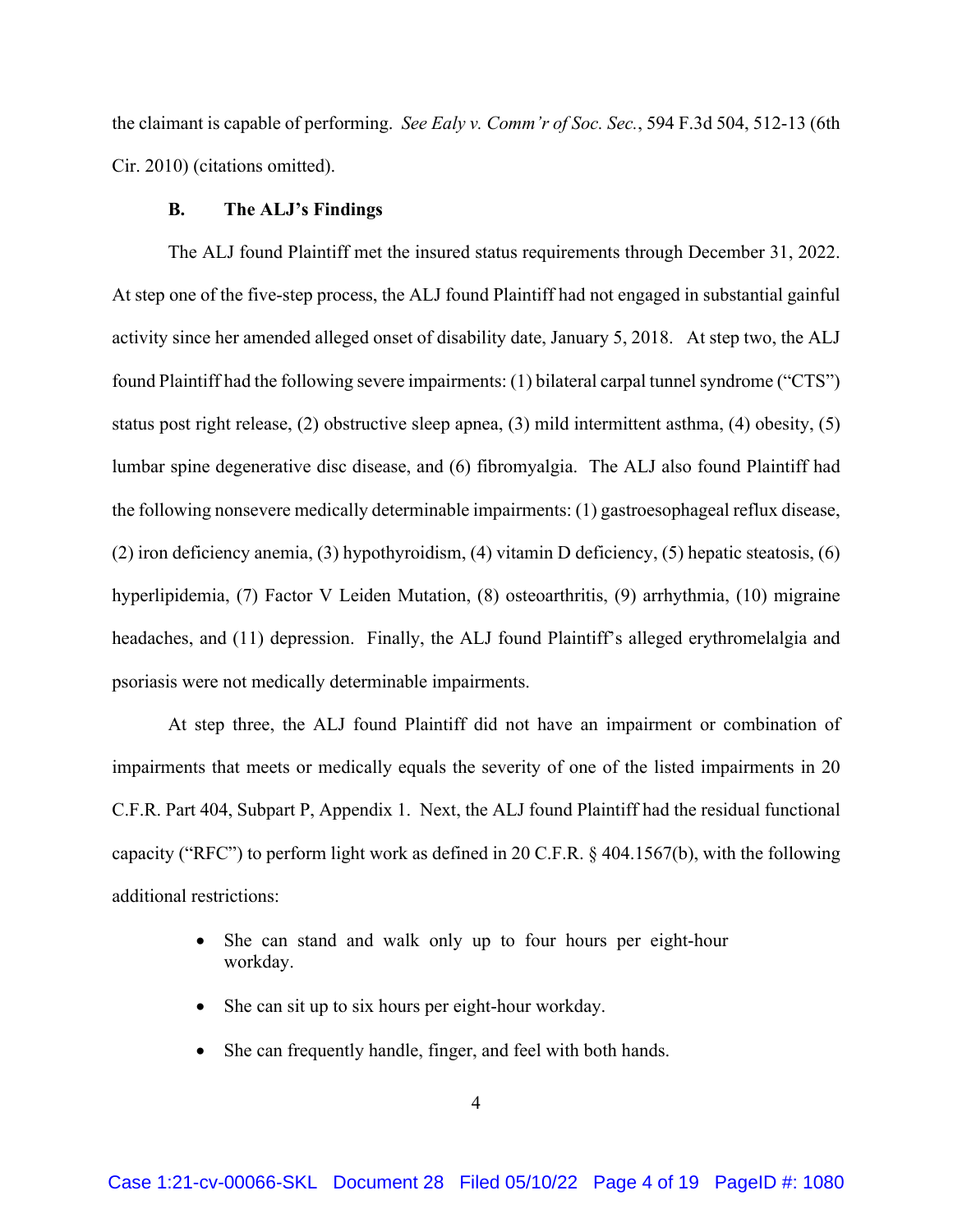the claimant is capable of performing. *See Ealy v. Comm'r of Soc. Sec.*, 594 F.3d 504, 512-13 (6th Cir. 2010) (citations omitted).

## **B. The ALJ's Findings**

The ALJ found Plaintiff met the insured status requirements through December 31, 2022. At step one of the five-step process, the ALJ found Plaintiff had not engaged in substantial gainful activity since her amended alleged onset of disability date, January 5, 2018. At step two, the ALJ found Plaintiff had the following severe impairments: (1) bilateral carpal tunnel syndrome ("CTS") status post right release, (2) obstructive sleep apnea, (3) mild intermittent asthma, (4) obesity, (5) lumbar spine degenerative disc disease, and (6) fibromyalgia. The ALJ also found Plaintiff had the following nonsevere medically determinable impairments: (1) gastroesophageal reflux disease, (2) iron deficiency anemia, (3) hypothyroidism, (4) vitamin D deficiency, (5) hepatic steatosis, (6) hyperlipidemia, (7) Factor V Leiden Mutation, (8) osteoarthritis, (9) arrhythmia, (10) migraine headaches, and (11) depression. Finally, the ALJ found Plaintiff's alleged erythromelalgia and psoriasis were not medically determinable impairments.

At step three, the ALJ found Plaintiff did not have an impairment or combination of impairments that meets or medically equals the severity of one of the listed impairments in 20 C.F.R. Part 404, Subpart P, Appendix 1. Next, the ALJ found Plaintiff had the residual functional capacity ("RFC") to perform light work as defined in 20 C.F.R. § 404.1567(b), with the following additional restrictions:

- She can stand and walk only up to four hours per eight-hour workday.
- She can sit up to six hours per eight-hour workday.
- She can frequently handle, finger, and feel with both hands.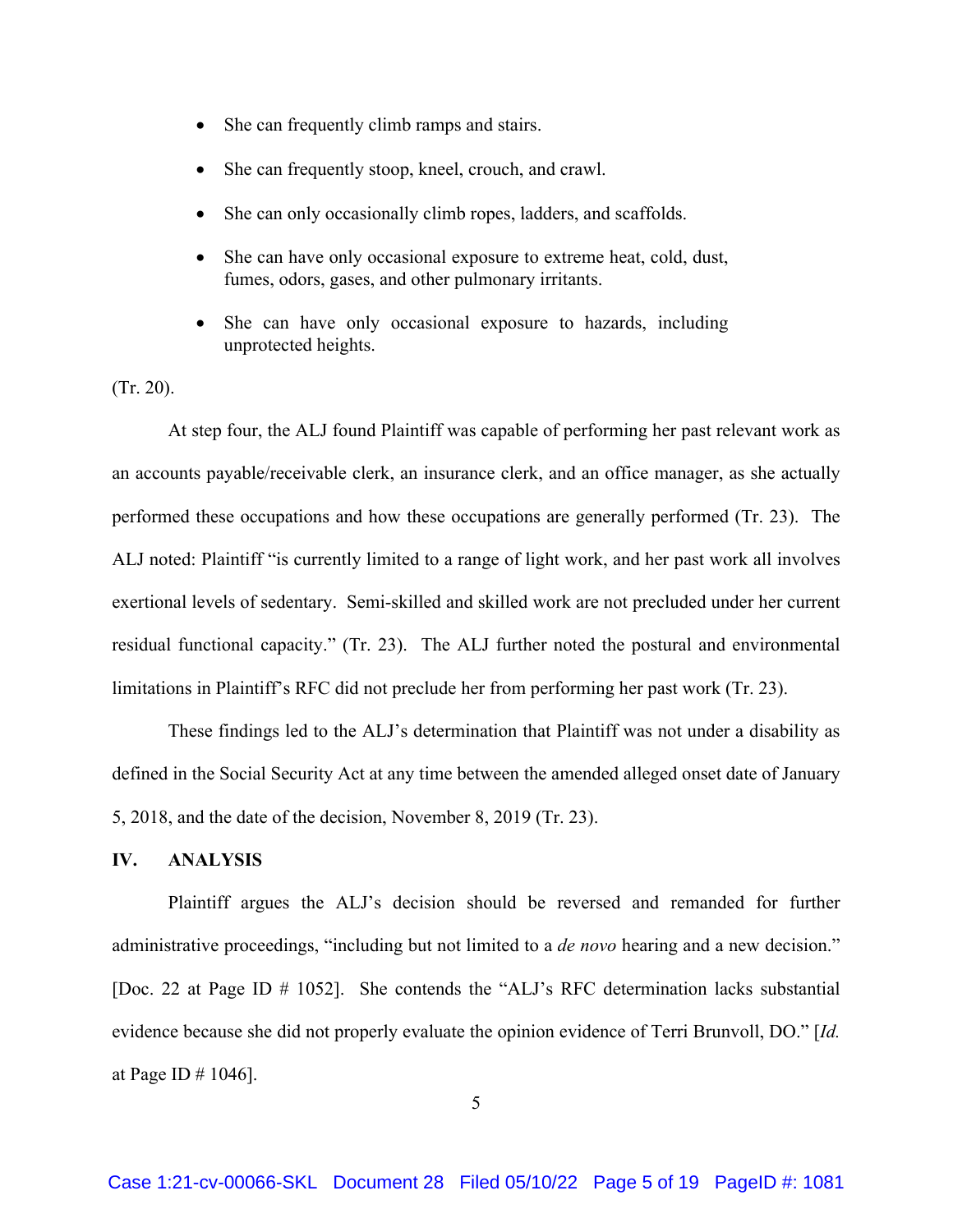- She can frequently climb ramps and stairs.
- She can frequently stoop, kneel, crouch, and crawl.
- She can only occasionally climb ropes, ladders, and scaffolds.
- She can have only occasional exposure to extreme heat, cold, dust, fumes, odors, gases, and other pulmonary irritants.
- She can have only occasional exposure to hazards, including unprotected heights.

(Tr. 20).

At step four, the ALJ found Plaintiff was capable of performing her past relevant work as an accounts payable/receivable clerk, an insurance clerk, and an office manager, as she actually performed these occupations and how these occupations are generally performed (Tr. 23). The ALJ noted: Plaintiff "is currently limited to a range of light work, and her past work all involves exertional levels of sedentary. Semi-skilled and skilled work are not precluded under her current residual functional capacity." (Tr. 23). The ALJ further noted the postural and environmental limitations in Plaintiff's RFC did not preclude her from performing her past work (Tr. 23).

These findings led to the ALJ's determination that Plaintiff was not under a disability as defined in the Social Security Act at any time between the amended alleged onset date of January 5, 2018, and the date of the decision, November 8, 2019 (Tr. 23).

# **IV. ANALYSIS**

Plaintiff argues the ALJ's decision should be reversed and remanded for further administrative proceedings, "including but not limited to a *de novo* hearing and a new decision." [Doc. 22 at Page ID # 1052]. She contends the "ALJ's RFC determination lacks substantial evidence because she did not properly evaluate the opinion evidence of Terri Brunvoll, DO." [*Id.* at Page ID # 1046].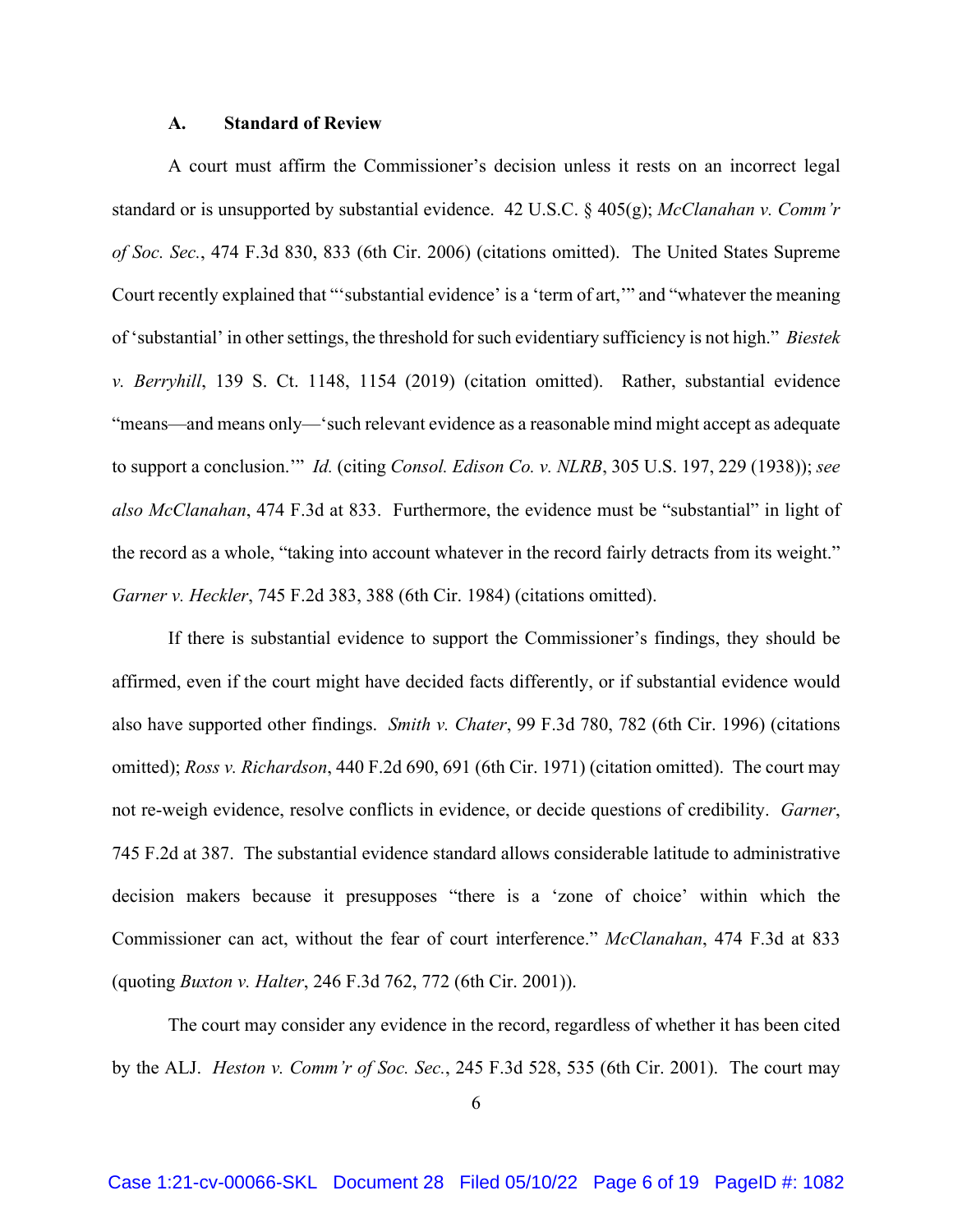#### **A. Standard of Review**

 A court must affirm the Commissioner's decision unless it rests on an incorrect legal standard or is unsupported by substantial evidence. 42 U.S.C. § 405(g); *McClanahan v. Comm'r of Soc. Sec.*, 474 F.3d 830, 833 (6th Cir. 2006) (citations omitted). The United States Supreme Court recently explained that "'substantial evidence' is a 'term of art,'" and "whatever the meaning of 'substantial' in other settings, the threshold for such evidentiary sufficiency is not high." *Biestek v. Berryhill*, 139 S. Ct. 1148, 1154 (2019) (citation omitted). Rather, substantial evidence "means—and means only—'such relevant evidence as a reasonable mind might accept as adequate to support a conclusion.'" *Id.* (citing *Consol. Edison Co. v. NLRB*, 305 U.S. 197, 229 (1938)); *see also McClanahan*, 474 F.3d at 833. Furthermore, the evidence must be "substantial" in light of the record as a whole, "taking into account whatever in the record fairly detracts from its weight." *Garner v. Heckler*, 745 F.2d 383, 388 (6th Cir. 1984) (citations omitted).

 If there is substantial evidence to support the Commissioner's findings, they should be affirmed, even if the court might have decided facts differently, or if substantial evidence would also have supported other findings. *Smith v. Chater*, 99 F.3d 780, 782 (6th Cir. 1996) (citations omitted); *Ross v. Richardson*, 440 F.2d 690, 691 (6th Cir. 1971) (citation omitted). The court may not re-weigh evidence, resolve conflicts in evidence, or decide questions of credibility. *Garner*, 745 F.2d at 387. The substantial evidence standard allows considerable latitude to administrative decision makers because it presupposes "there is a 'zone of choice' within which the Commissioner can act, without the fear of court interference." *McClanahan*, 474 F.3d at 833 (quoting *Buxton v. Halter*, 246 F.3d 762, 772 (6th Cir. 2001)).

The court may consider any evidence in the record, regardless of whether it has been cited by the ALJ. *Heston v. Comm'r of Soc. Sec.*, 245 F.3d 528, 535 (6th Cir. 2001). The court may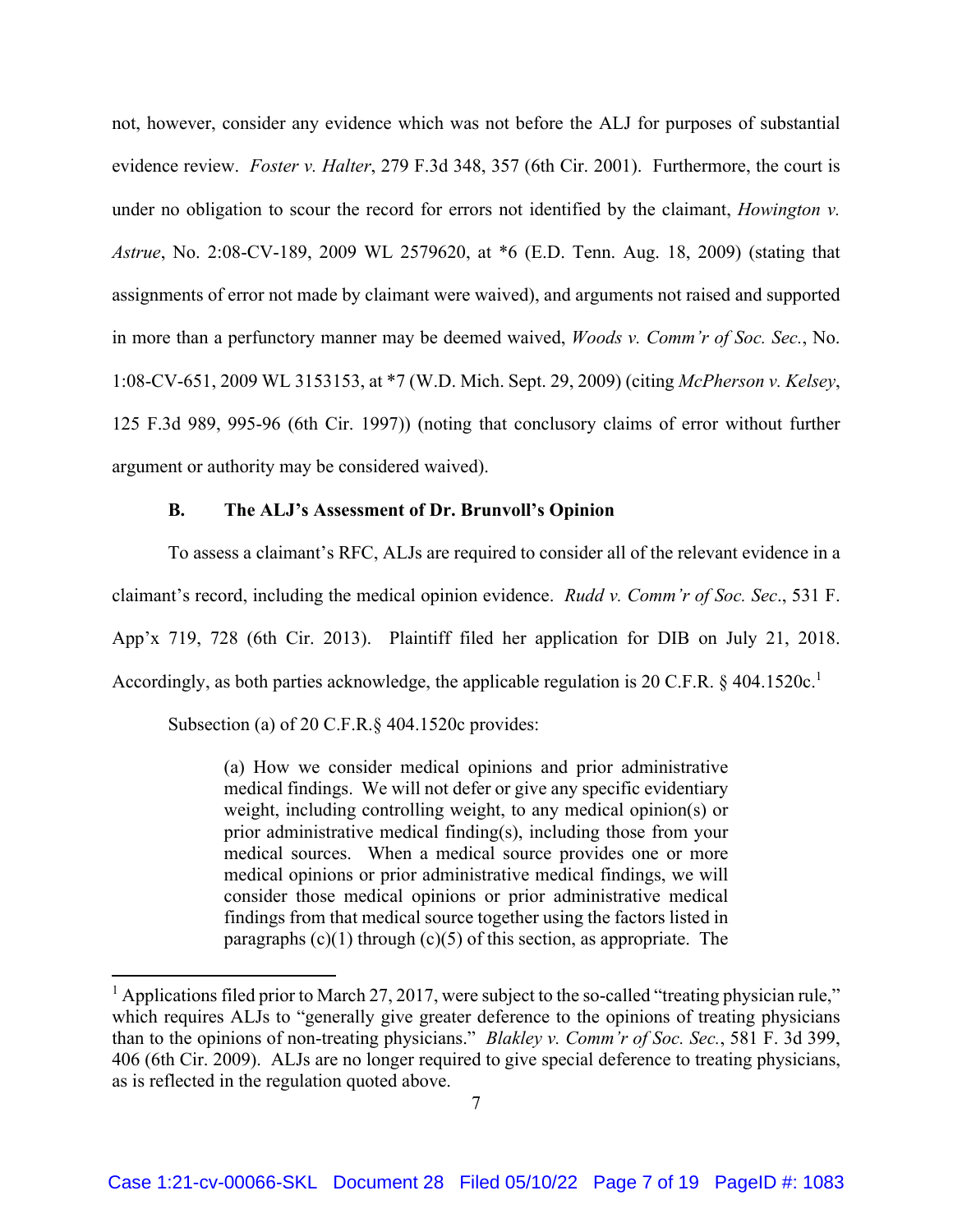not, however, consider any evidence which was not before the ALJ for purposes of substantial evidence review. *Foster v. Halter*, 279 F.3d 348, 357 (6th Cir. 2001). Furthermore, the court is under no obligation to scour the record for errors not identified by the claimant, *Howington v. Astrue*, No. 2:08-CV-189, 2009 WL 2579620, at \*6 (E.D. Tenn. Aug. 18, 2009) (stating that assignments of error not made by claimant were waived), and arguments not raised and supported in more than a perfunctory manner may be deemed waived, *Woods v. Comm'r of Soc. Sec.*, No. 1:08-CV-651, 2009 WL 3153153, at \*7 (W.D. Mich. Sept. 29, 2009) (citing *McPherson v. Kelsey*, 125 F.3d 989, 995-96 (6th Cir. 1997)) (noting that conclusory claims of error without further argument or authority may be considered waived).

# **B. The ALJ's Assessment of Dr. Brunvoll's Opinion**

To assess a claimant's RFC, ALJs are required to consider all of the relevant evidence in a claimant's record, including the medical opinion evidence. *Rudd v. Comm'r of Soc. Sec*., 531 F. App'x 719, 728 (6th Cir. 2013). Plaintiff filed her application for DIB on July 21, 2018. Accordingly, as both parties acknowledge, the applicable regulation is 20 C.F.R. § 404.1520c.<sup>1</sup>

Subsection (a) of 20 C.F.R.§ 404.1520c provides:

(a) How we consider medical opinions and prior administrative medical findings. We will not defer or give any specific evidentiary weight, including controlling weight, to any medical opinion(s) or prior administrative medical finding(s), including those from your medical sources. When a medical source provides one or more medical opinions or prior administrative medical findings, we will consider those medical opinions or prior administrative medical findings from that medical source together using the factors listed in paragraphs  $(c)(1)$  through  $(c)(5)$  of this section, as appropriate. The

<sup>&</sup>lt;sup>1</sup> Applications filed prior to March 27, 2017, were subject to the so-called "treating physician rule," which requires ALJs to "generally give greater deference to the opinions of treating physicians than to the opinions of non-treating physicians." *Blakley v. Comm'r of Soc. Sec.*, 581 F. 3d 399, 406 (6th Cir. 2009). ALJs are no longer required to give special deference to treating physicians, as is reflected in the regulation quoted above.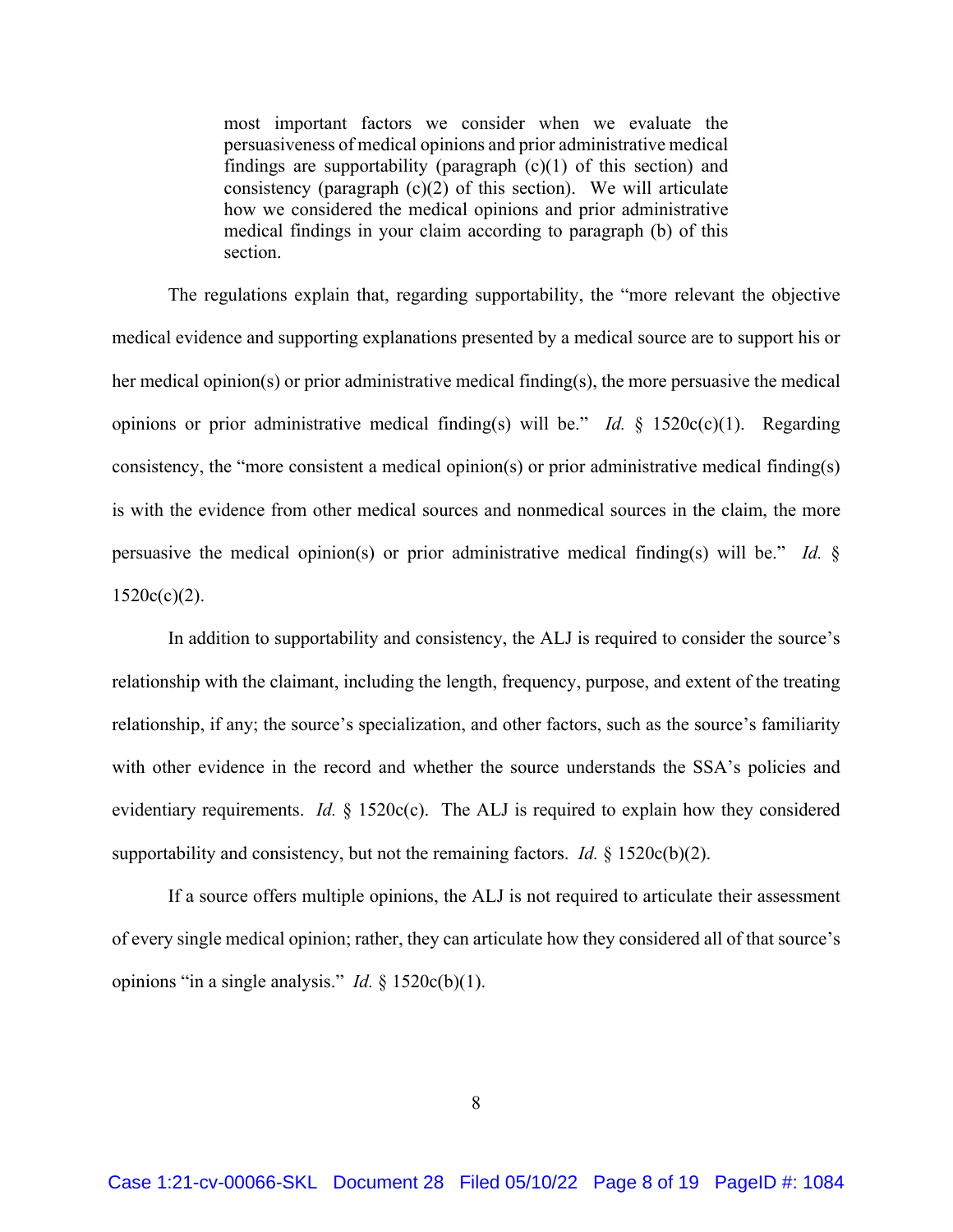most important factors we consider when we evaluate the persuasiveness of medical opinions and prior administrative medical findings are supportability (paragraph  $(c)(1)$  of this section) and consistency (paragraph  $(c)(2)$  of this section). We will articulate how we considered the medical opinions and prior administrative medical findings in your claim according to paragraph (b) of this section.

The regulations explain that, regarding supportability, the "more relevant the objective medical evidence and supporting explanations presented by a medical source are to support his or her medical opinion(s) or prior administrative medical finding(s), the more persuasive the medical opinions or prior administrative medical finding(s) will be." *Id.* § 1520c(c)(1). Regarding consistency, the "more consistent a medical opinion(s) or prior administrative medical finding(s) is with the evidence from other medical sources and nonmedical sources in the claim, the more persuasive the medical opinion(s) or prior administrative medical finding(s) will be." *Id.* §  $1520c(c)(2)$ .

In addition to supportability and consistency, the ALJ is required to consider the source's relationship with the claimant, including the length, frequency, purpose, and extent of the treating relationship, if any; the source's specialization, and other factors, such as the source's familiarity with other evidence in the record and whether the source understands the SSA's policies and evidentiary requirements. *Id.* § 1520c(c). The ALJ is required to explain how they considered supportability and consistency, but not the remaining factors. *Id.*  $\S$  1520c(b)(2).

If a source offers multiple opinions, the ALJ is not required to articulate their assessment of every single medical opinion; rather, they can articulate how they considered all of that source's opinions "in a single analysis." *Id.* § 1520c(b)(1).

8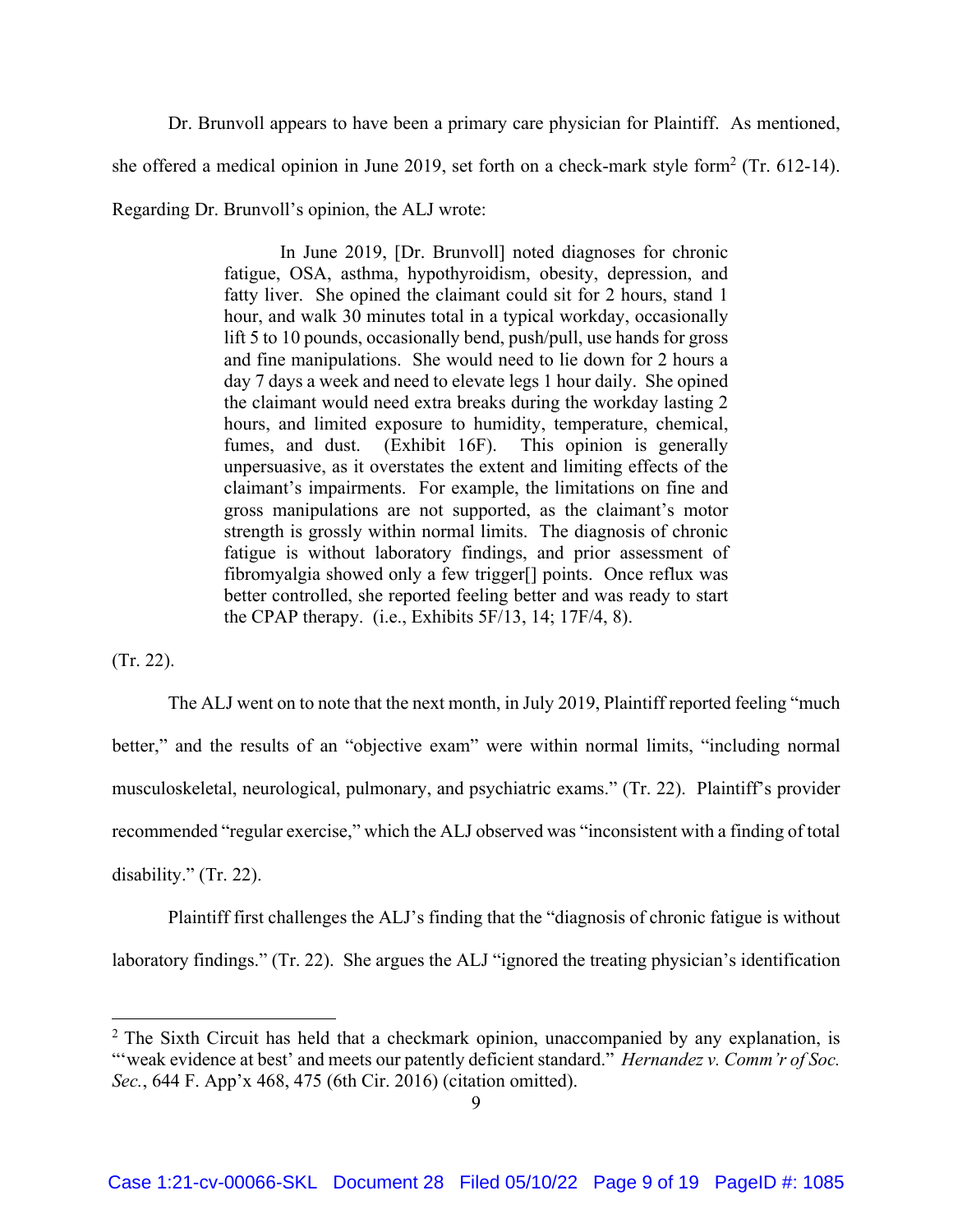Dr. Brunvoll appears to have been a primary care physician for Plaintiff. As mentioned, she offered a medical opinion in June 2019, set forth on a check-mark style form<sup>2</sup> (Tr. 612-14). Regarding Dr. Brunvoll's opinion, the ALJ wrote:

> In June 2019, [Dr. Brunvoll] noted diagnoses for chronic fatigue, OSA, asthma, hypothyroidism, obesity, depression, and fatty liver. She opined the claimant could sit for 2 hours, stand 1 hour, and walk 30 minutes total in a typical workday, occasionally lift 5 to 10 pounds, occasionally bend, push/pull, use hands for gross and fine manipulations. She would need to lie down for 2 hours a day 7 days a week and need to elevate legs 1 hour daily. She opined the claimant would need extra breaks during the workday lasting 2 hours, and limited exposure to humidity, temperature, chemical, fumes, and dust. (Exhibit 16F). This opinion is generally unpersuasive, as it overstates the extent and limiting effects of the claimant's impairments. For example, the limitations on fine and gross manipulations are not supported, as the claimant's motor strength is grossly within normal limits. The diagnosis of chronic fatigue is without laboratory findings, and prior assessment of fibromyalgia showed only a few trigger[] points. Once reflux was better controlled, she reported feeling better and was ready to start the CPAP therapy. (i.e., Exhibits 5F/13, 14; 17F/4, 8).

(Tr. 22).

 The ALJ went on to note that the next month, in July 2019, Plaintiff reported feeling "much better," and the results of an "objective exam" were within normal limits, "including normal musculoskeletal, neurological, pulmonary, and psychiatric exams." (Tr. 22). Plaintiff's provider recommended "regular exercise," which the ALJ observed was "inconsistent with a finding of total disability." (Tr. 22).

 Plaintiff first challenges the ALJ's finding that the "diagnosis of chronic fatigue is without laboratory findings." (Tr. 22). She argues the ALJ "ignored the treating physician's identification

<sup>&</sup>lt;sup>2</sup> The Sixth Circuit has held that a checkmark opinion, unaccompanied by any explanation, is "weak evidence at best' and meets our patently deficient standard." *Hernandez v. Comm'r of Soc. Sec.*, 644 F. App'x 468, 475 (6th Cir. 2016) (citation omitted).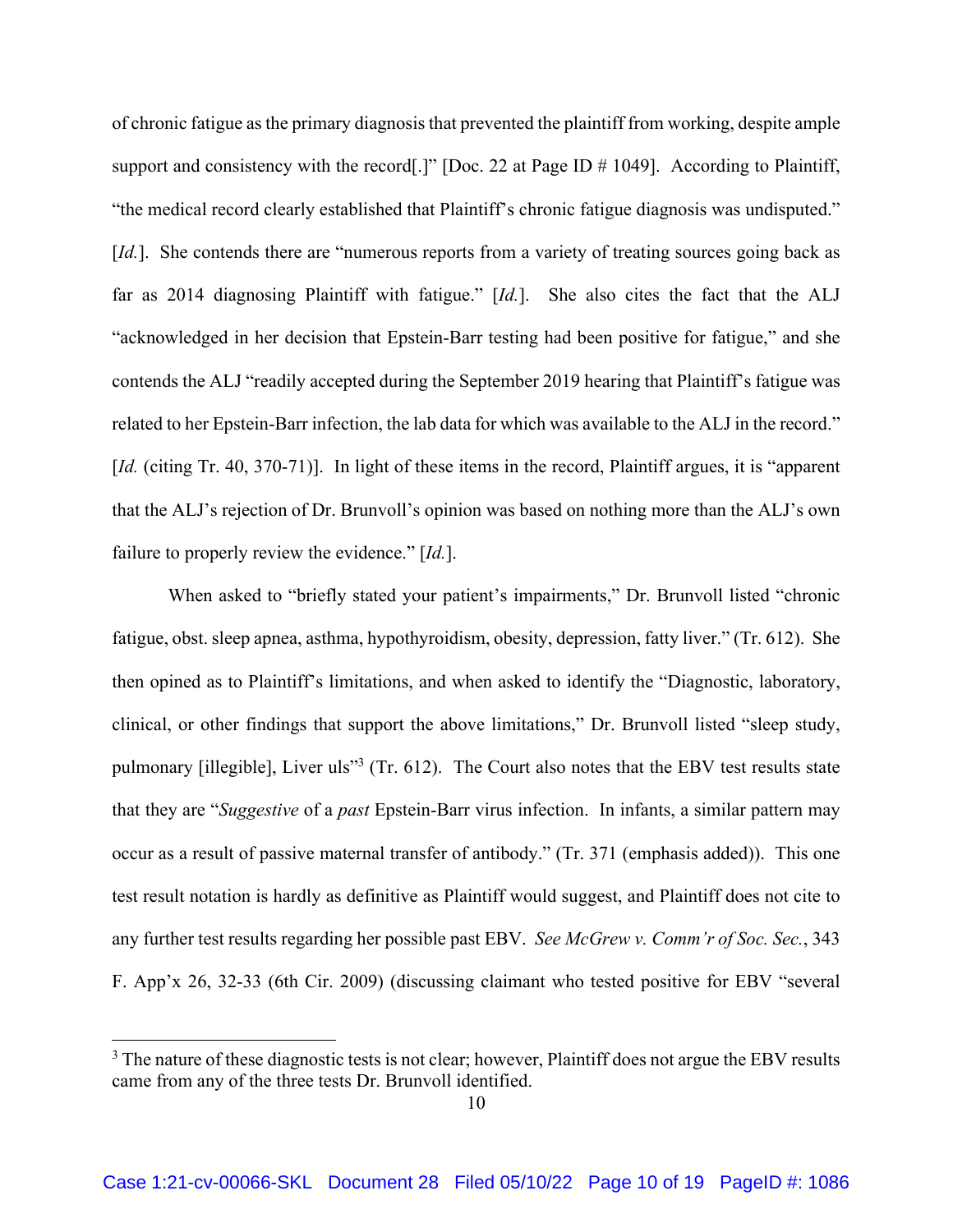of chronic fatigue as the primary diagnosis that prevented the plaintiff from working, despite ample support and consistency with the record<sup>[1]</sup> [Doc. 22 at Page ID # 1049]. According to Plaintiff, "the medical record clearly established that Plaintiff's chronic fatigue diagnosis was undisputed." [*Id.*]. She contends there are "numerous reports from a variety of treating sources going back as far as 2014 diagnosing Plaintiff with fatigue." [*Id.*]. She also cites the fact that the ALJ "acknowledged in her decision that Epstein-Barr testing had been positive for fatigue," and she contends the ALJ "readily accepted during the September 2019 hearing that Plaintiff's fatigue was related to her Epstein-Barr infection, the lab data for which was available to the ALJ in the record." [*Id.* (citing Tr. 40, 370-71)]. In light of these items in the record, Plaintiff argues, it is "apparent" that the ALJ's rejection of Dr. Brunvoll's opinion was based on nothing more than the ALJ's own failure to properly review the evidence." [*Id.*].

 When asked to "briefly stated your patient's impairments," Dr. Brunvoll listed "chronic fatigue, obst. sleep apnea, asthma, hypothyroidism, obesity, depression, fatty liver." (Tr. 612). She then opined as to Plaintiff's limitations, and when asked to identify the "Diagnostic, laboratory, clinical, or other findings that support the above limitations," Dr. Brunvoll listed "sleep study, pulmonary [illegible], Liver uls<sup>33</sup> (Tr. 612). The Court also notes that the EBV test results state that they are "*Suggestive* of a *past* Epstein-Barr virus infection. In infants, a similar pattern may occur as a result of passive maternal transfer of antibody." (Tr. 371 (emphasis added)). This one test result notation is hardly as definitive as Plaintiff would suggest, and Plaintiff does not cite to any further test results regarding her possible past EBV. *See McGrew v. Comm'r of Soc. Sec.*, 343 F. App'x 26, 32-33 (6th Cir. 2009) (discussing claimant who tested positive for EBV "several

 $3$  The nature of these diagnostic tests is not clear; however, Plaintiff does not argue the EBV results came from any of the three tests Dr. Brunvoll identified.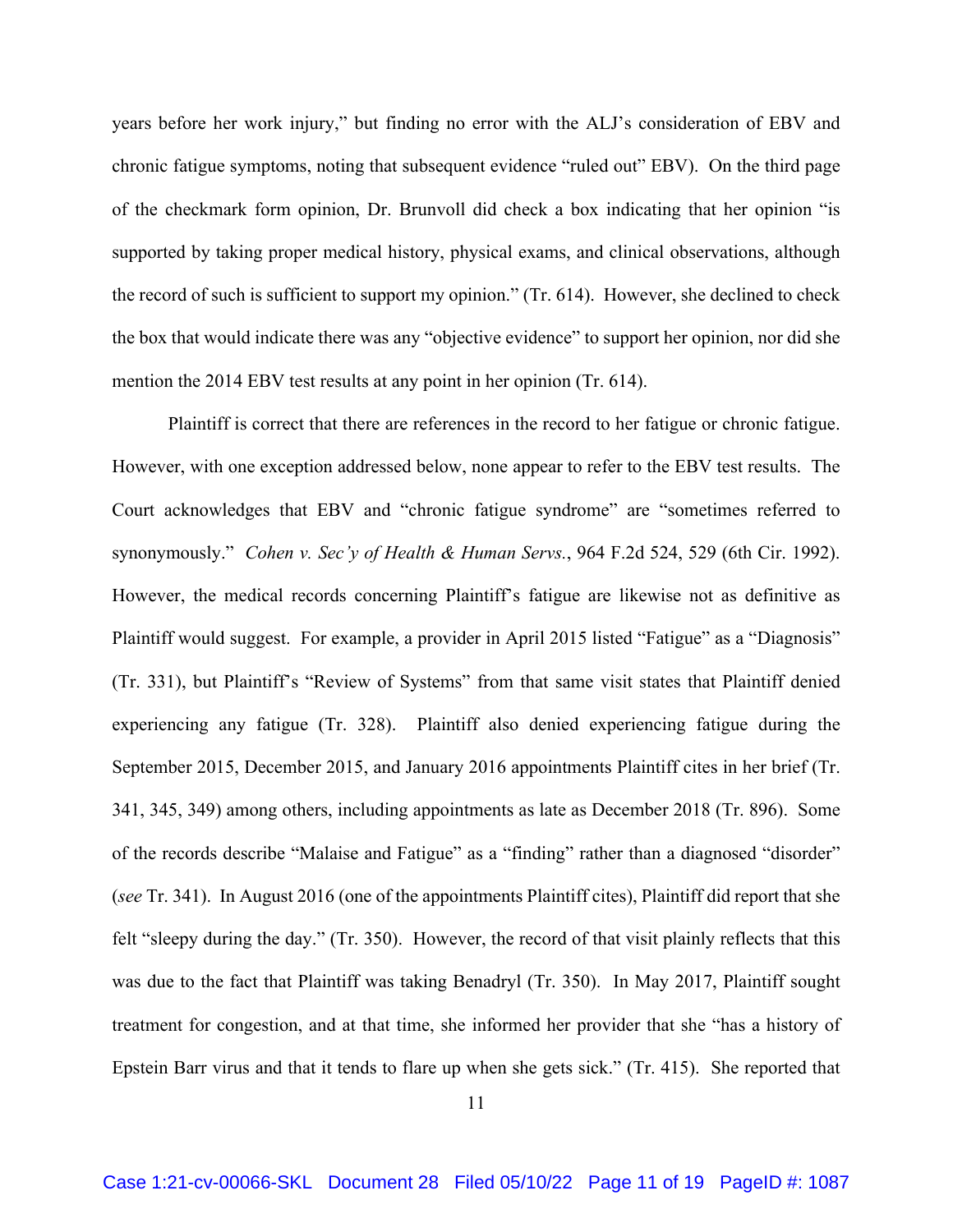years before her work injury," but finding no error with the ALJ's consideration of EBV and chronic fatigue symptoms, noting that subsequent evidence "ruled out" EBV). On the third page of the checkmark form opinion, Dr. Brunvoll did check a box indicating that her opinion "is supported by taking proper medical history, physical exams, and clinical observations, although the record of such is sufficient to support my opinion." (Tr. 614). However, she declined to check the box that would indicate there was any "objective evidence" to support her opinion, nor did she mention the 2014 EBV test results at any point in her opinion (Tr. 614).

 Plaintiff is correct that there are references in the record to her fatigue or chronic fatigue. However, with one exception addressed below, none appear to refer to the EBV test results. The Court acknowledges that EBV and "chronic fatigue syndrome" are "sometimes referred to synonymously." *Cohen v. Sec'y of Health & Human Servs.*, 964 F.2d 524, 529 (6th Cir. 1992). However, the medical records concerning Plaintiff's fatigue are likewise not as definitive as Plaintiff would suggest. For example, a provider in April 2015 listed "Fatigue" as a "Diagnosis" (Tr. 331), but Plaintiff's "Review of Systems" from that same visit states that Plaintiff denied experiencing any fatigue (Tr. 328). Plaintiff also denied experiencing fatigue during the September 2015, December 2015, and January 2016 appointments Plaintiff cites in her brief (Tr. 341, 345, 349) among others, including appointments as late as December 2018 (Tr. 896). Some of the records describe "Malaise and Fatigue" as a "finding" rather than a diagnosed "disorder" (*see* Tr. 341). In August 2016 (one of the appointments Plaintiff cites), Plaintiff did report that she felt "sleepy during the day." (Tr. 350). However, the record of that visit plainly reflects that this was due to the fact that Plaintiff was taking Benadryl (Tr. 350). In May 2017, Plaintiff sought treatment for congestion, and at that time, she informed her provider that she "has a history of Epstein Barr virus and that it tends to flare up when she gets sick." (Tr. 415). She reported that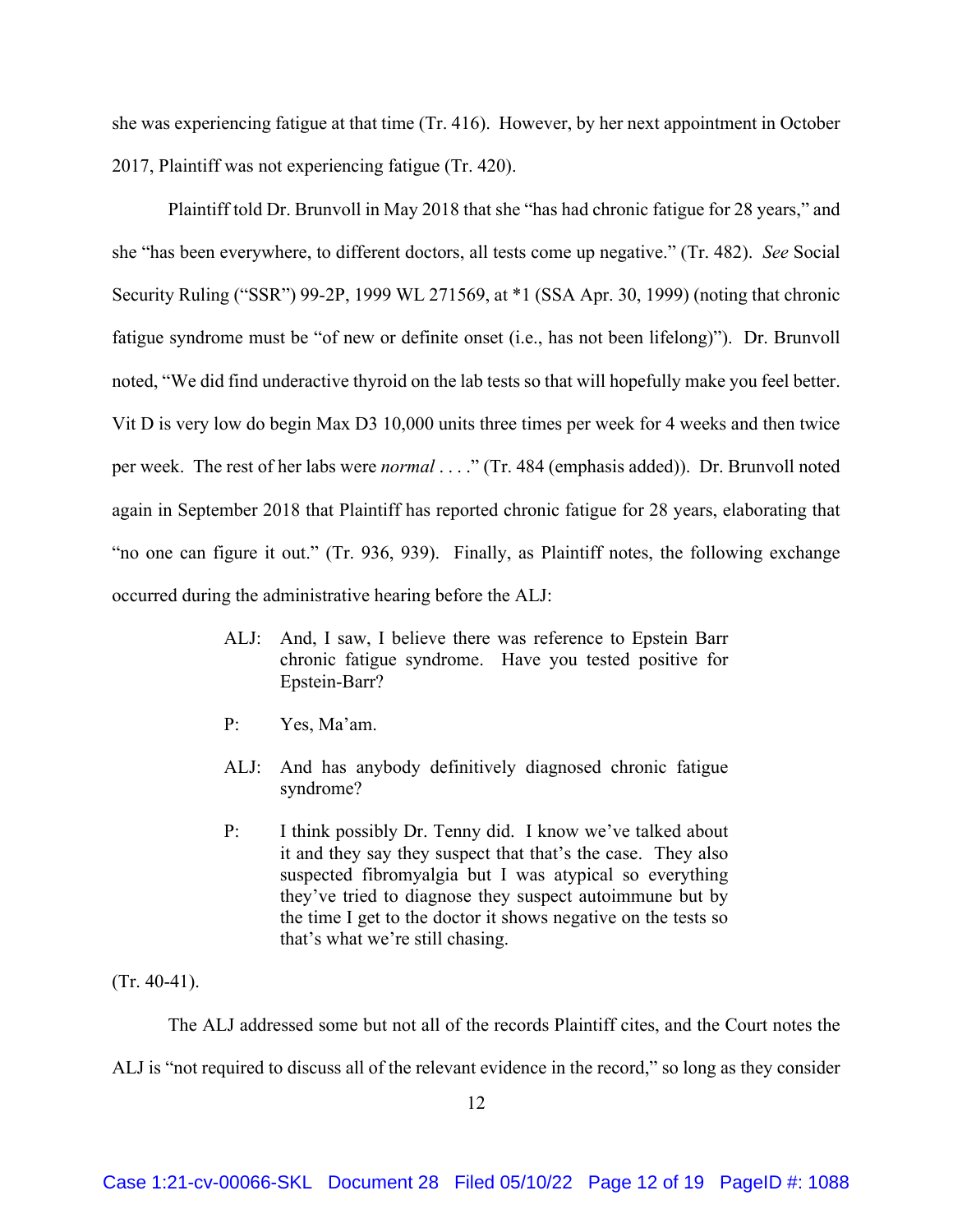she was experiencing fatigue at that time (Tr. 416). However, by her next appointment in October 2017, Plaintiff was not experiencing fatigue (Tr. 420).

 Plaintiff told Dr. Brunvoll in May 2018 that she "has had chronic fatigue for 28 years," and she "has been everywhere, to different doctors, all tests come up negative." (Tr. 482). *See* Social Security Ruling ("SSR") 99-2P, 1999 WL 271569, at \*1 (SSA Apr. 30, 1999) (noting that chronic fatigue syndrome must be "of new or definite onset (i.e., has not been lifelong)"). Dr. Brunvoll noted, "We did find underactive thyroid on the lab tests so that will hopefully make you feel better. Vit D is very low do begin Max D3 10,000 units three times per week for 4 weeks and then twice per week. The rest of her labs were *normal* . . . ." (Tr. 484 (emphasis added)). Dr. Brunvoll noted again in September 2018 that Plaintiff has reported chronic fatigue for 28 years, elaborating that "no one can figure it out." (Tr. 936, 939). Finally, as Plaintiff notes, the following exchange occurred during the administrative hearing before the ALJ:

- ALJ: And, I saw, I believe there was reference to Epstein Barr chronic fatigue syndrome. Have you tested positive for Epstein-Barr?
- P: Yes, Ma'am.
- ALJ: And has anybody definitively diagnosed chronic fatigue syndrome?
- P: I think possibly Dr. Tenny did. I know we've talked about it and they say they suspect that that's the case. They also suspected fibromyalgia but I was atypical so everything they've tried to diagnose they suspect autoimmune but by the time I get to the doctor it shows negative on the tests so that's what we're still chasing.

 $(Tr. 40-41)$ .

The ALJ addressed some but not all of the records Plaintiff cites, and the Court notes the

ALJ is "not required to discuss all of the relevant evidence in the record," so long as they consider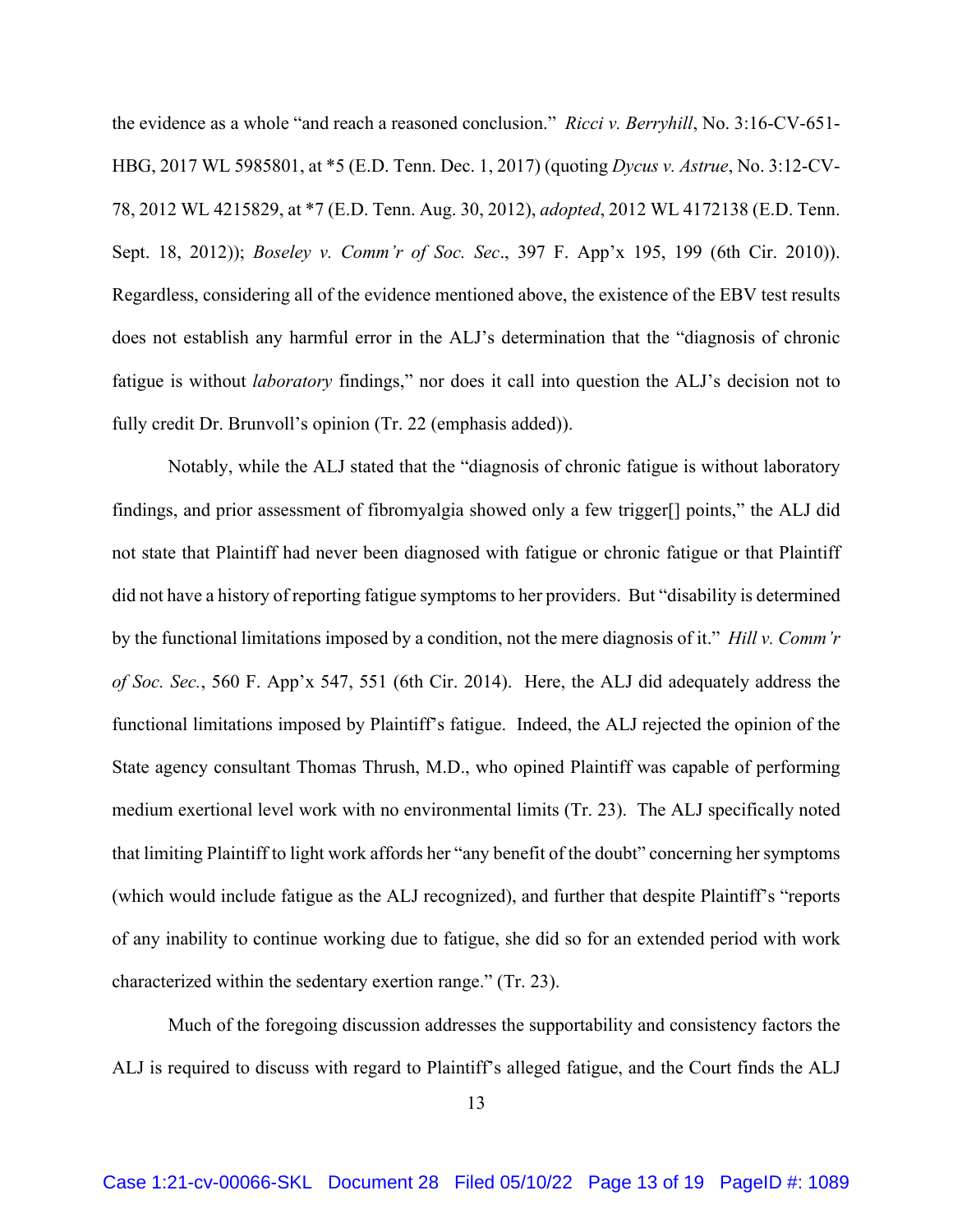the evidence as a whole "and reach a reasoned conclusion." *Ricci v. Berryhill*, No. 3:16-CV-651- HBG, 2017 WL 5985801, at \*5 (E.D. Tenn. Dec. 1, 2017) (quoting *Dycus v. Astrue*, No. 3:12-CV-78, 2012 WL 4215829, at \*7 (E.D. Tenn. Aug. 30, 2012), *adopted*, 2012 WL 4172138 (E.D. Tenn. Sept. 18, 2012)); *Boseley v. Comm'r of Soc. Sec*., 397 F. App'x 195, 199 (6th Cir. 2010)). Regardless, considering all of the evidence mentioned above, the existence of the EBV test results does not establish any harmful error in the ALJ's determination that the "diagnosis of chronic fatigue is without *laboratory* findings," nor does it call into question the ALJ's decision not to fully credit Dr. Brunvoll's opinion (Tr. 22 (emphasis added)).

 Notably, while the ALJ stated that the "diagnosis of chronic fatigue is without laboratory findings, and prior assessment of fibromyalgia showed only a few trigger[] points," the ALJ did not state that Plaintiff had never been diagnosed with fatigue or chronic fatigue or that Plaintiff did not have a history of reporting fatigue symptoms to her providers. But "disability is determined by the functional limitations imposed by a condition, not the mere diagnosis of it." *Hill v. Comm'r of Soc. Sec.*, 560 F. App'x 547, 551 (6th Cir. 2014). Here, the ALJ did adequately address the functional limitations imposed by Plaintiff's fatigue. Indeed, the ALJ rejected the opinion of the State agency consultant Thomas Thrush, M.D., who opined Plaintiff was capable of performing medium exertional level work with no environmental limits (Tr. 23). The ALJ specifically noted that limiting Plaintiff to light work affords her "any benefit of the doubt" concerning her symptoms (which would include fatigue as the ALJ recognized), and further that despite Plaintiff's "reports of any inability to continue working due to fatigue, she did so for an extended period with work characterized within the sedentary exertion range." (Tr. 23).

 Much of the foregoing discussion addresses the supportability and consistency factors the ALJ is required to discuss with regard to Plaintiff's alleged fatigue, and the Court finds the ALJ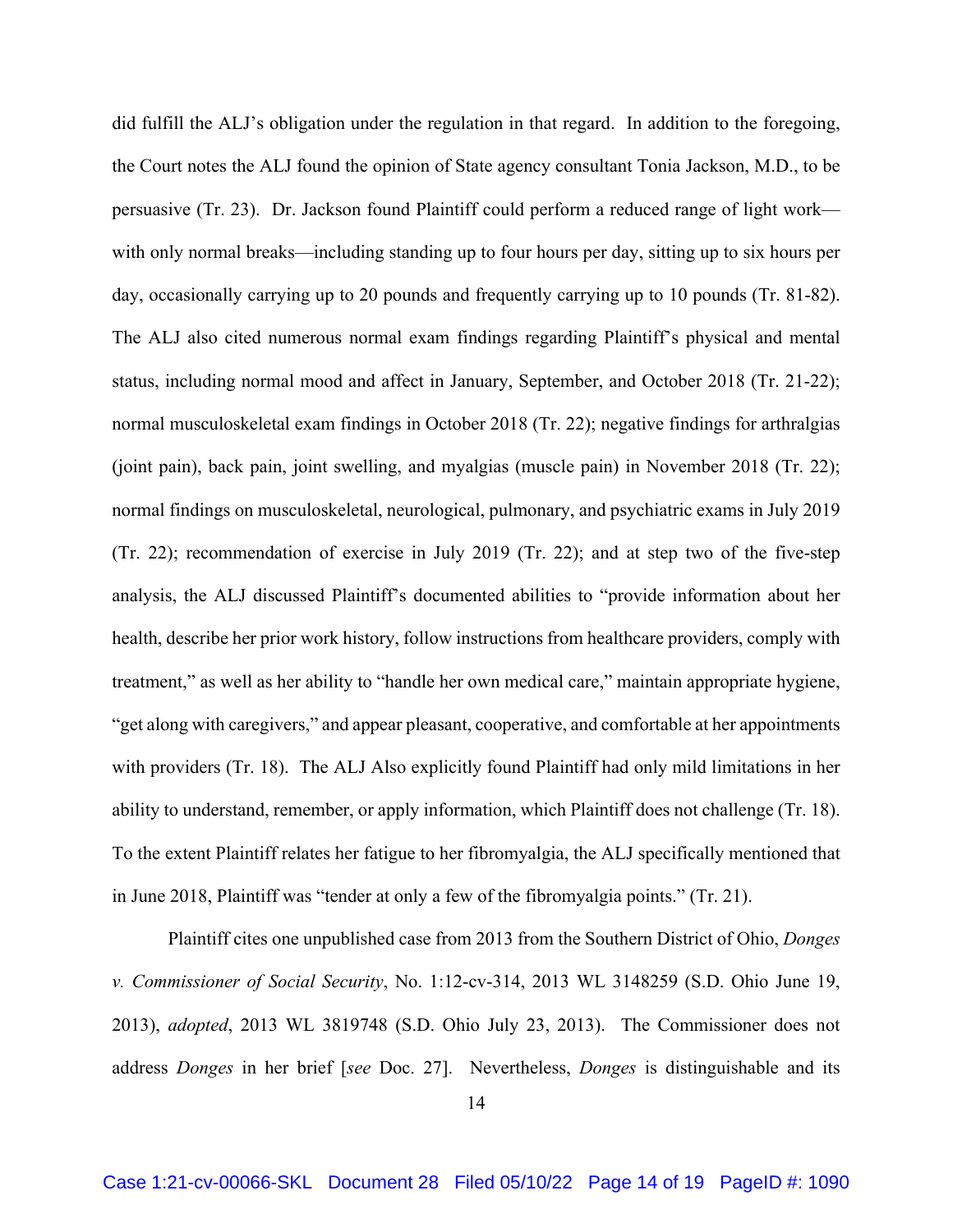did fulfill the ALJ's obligation under the regulation in that regard. In addition to the foregoing, the Court notes the ALJ found the opinion of State agency consultant Tonia Jackson, M.D., to be persuasive (Tr. 23). Dr. Jackson found Plaintiff could perform a reduced range of light work with only normal breaks—including standing up to four hours per day, sitting up to six hours per day, occasionally carrying up to 20 pounds and frequently carrying up to 10 pounds (Tr. 81-82). The ALJ also cited numerous normal exam findings regarding Plaintiff's physical and mental status, including normal mood and affect in January, September, and October 2018 (Tr. 21-22); normal musculoskeletal exam findings in October 2018 (Tr. 22); negative findings for arthralgias (joint pain), back pain, joint swelling, and myalgias (muscle pain) in November 2018 (Tr. 22); normal findings on musculoskeletal, neurological, pulmonary, and psychiatric exams in July 2019 (Tr. 22); recommendation of exercise in July 2019 (Tr. 22); and at step two of the five-step analysis, the ALJ discussed Plaintiff's documented abilities to "provide information about her health, describe her prior work history, follow instructions from healthcare providers, comply with treatment," as well as her ability to "handle her own medical care," maintain appropriate hygiene, "get along with caregivers," and appear pleasant, cooperative, and comfortable at her appointments with providers (Tr. 18). The ALJ Also explicitly found Plaintiff had only mild limitations in her ability to understand, remember, or apply information, which Plaintiff does not challenge (Tr. 18). To the extent Plaintiff relates her fatigue to her fibromyalgia, the ALJ specifically mentioned that in June 2018, Plaintiff was "tender at only a few of the fibromyalgia points." (Tr. 21).

 Plaintiff cites one unpublished case from 2013 from the Southern District of Ohio, *Donges v. Commissioner of Social Security*, No. 1:12-cv-314, 2013 WL 3148259 (S.D. Ohio June 19, 2013), *adopted*, 2013 WL 3819748 (S.D. Ohio July 23, 2013). The Commissioner does not address *Donges* in her brief [*see* Doc. 27]. Nevertheless, *Donges* is distinguishable and its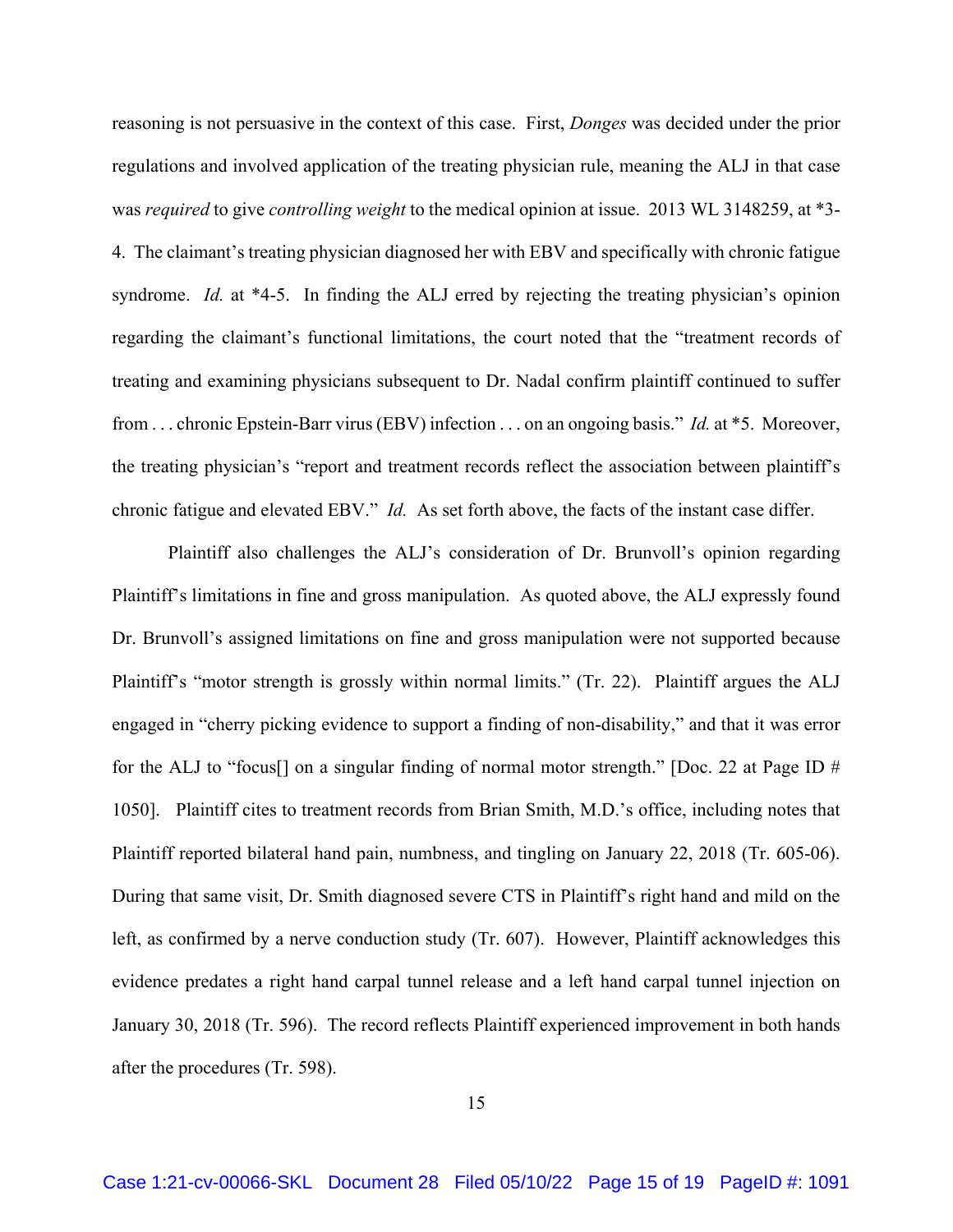reasoning is not persuasive in the context of this case. First, *Donges* was decided under the prior regulations and involved application of the treating physician rule, meaning the ALJ in that case was *required* to give *controlling weight* to the medical opinion at issue. 2013 WL 3148259, at \*3- 4. The claimant's treating physician diagnosed her with EBV and specifically with chronic fatigue syndrome. *Id.* at \*4-5. In finding the ALJ erred by rejecting the treating physician's opinion regarding the claimant's functional limitations, the court noted that the "treatment records of treating and examining physicians subsequent to Dr. Nadal confirm plaintiff continued to suffer from . . . chronic Epstein-Barr virus (EBV) infection . . . on an ongoing basis." *Id.* at \*5. Moreover, the treating physician's "report and treatment records reflect the association between plaintiff's chronic fatigue and elevated EBV." *Id.* As set forth above, the facts of the instant case differ.

Plaintiff also challenges the ALJ's consideration of Dr. Brunvoll's opinion regarding Plaintiff's limitations in fine and gross manipulation. As quoted above, the ALJ expressly found Dr. Brunvoll's assigned limitations on fine and gross manipulation were not supported because Plaintiff's "motor strength is grossly within normal limits." (Tr. 22). Plaintiff argues the ALJ engaged in "cherry picking evidence to support a finding of non-disability," and that it was error for the ALJ to "focus<sup>[]</sup> on a singular finding of normal motor strength." [Doc. 22 at Page ID  $#$ 1050]. Plaintiff cites to treatment records from Brian Smith, M.D.'s office, including notes that Plaintiff reported bilateral hand pain, numbness, and tingling on January 22, 2018 (Tr. 605-06). During that same visit, Dr. Smith diagnosed severe CTS in Plaintiff's right hand and mild on the left, as confirmed by a nerve conduction study (Tr. 607). However, Plaintiff acknowledges this evidence predates a right hand carpal tunnel release and a left hand carpal tunnel injection on January 30, 2018 (Tr. 596). The record reflects Plaintiff experienced improvement in both hands after the procedures (Tr. 598).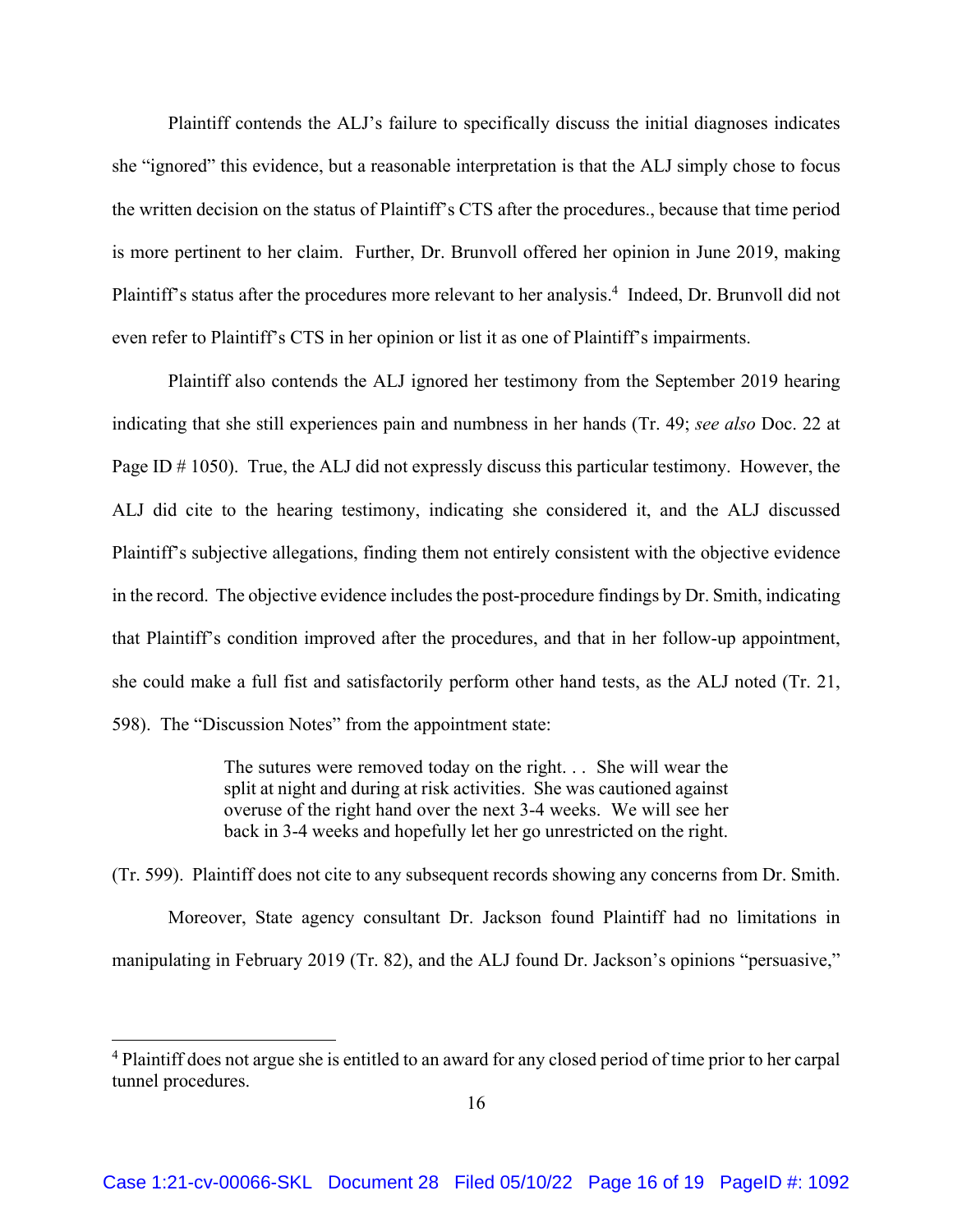Plaintiff contends the ALJ's failure to specifically discuss the initial diagnoses indicates she "ignored" this evidence, but a reasonable interpretation is that the ALJ simply chose to focus the written decision on the status of Plaintiff's CTS after the procedures., because that time period is more pertinent to her claim. Further, Dr. Brunvoll offered her opinion in June 2019, making Plaintiff's status after the procedures more relevant to her analysis.<sup>4</sup> Indeed, Dr. Brunvoll did not even refer to Plaintiff's CTS in her opinion or list it as one of Plaintiff's impairments.

Plaintiff also contends the ALJ ignored her testimony from the September 2019 hearing indicating that she still experiences pain and numbness in her hands (Tr. 49; *see also* Doc. 22 at Page ID # 1050). True, the ALJ did not expressly discuss this particular testimony. However, the ALJ did cite to the hearing testimony, indicating she considered it, and the ALJ discussed Plaintiff's subjective allegations, finding them not entirely consistent with the objective evidence in the record. The objective evidence includes the post-procedure findings by Dr. Smith, indicating that Plaintiff's condition improved after the procedures, and that in her follow-up appointment, she could make a full fist and satisfactorily perform other hand tests, as the ALJ noted (Tr. 21, 598). The "Discussion Notes" from the appointment state:

> The sutures were removed today on the right. . . She will wear the split at night and during at risk activities. She was cautioned against overuse of the right hand over the next 3-4 weeks. We will see her back in 3-4 weeks and hopefully let her go unrestricted on the right.

(Tr. 599). Plaintiff does not cite to any subsequent records showing any concerns from Dr. Smith. Moreover, State agency consultant Dr. Jackson found Plaintiff had no limitations in manipulating in February 2019 (Tr. 82), and the ALJ found Dr. Jackson's opinions "persuasive,"

<sup>&</sup>lt;sup>4</sup> Plaintiff does not argue she is entitled to an award for any closed period of time prior to her carpal tunnel procedures.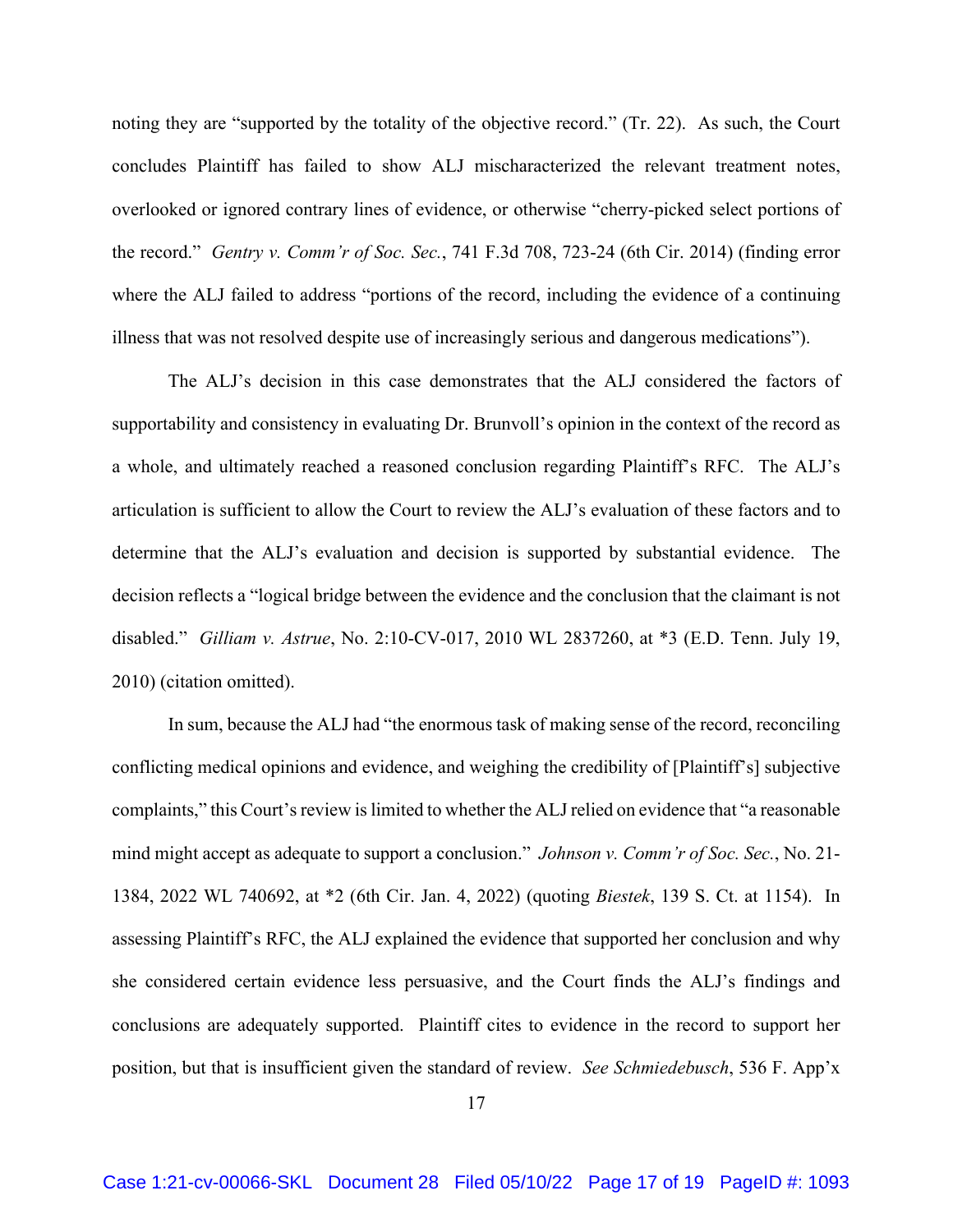noting they are "supported by the totality of the objective record." (Tr. 22). As such, the Court concludes Plaintiff has failed to show ALJ mischaracterized the relevant treatment notes, overlooked or ignored contrary lines of evidence, or otherwise "cherry-picked select portions of the record." *Gentry v. Comm'r of Soc. Sec.*, 741 F.3d 708, 723-24 (6th Cir. 2014) (finding error where the ALJ failed to address "portions of the record, including the evidence of a continuing illness that was not resolved despite use of increasingly serious and dangerous medications").

 The ALJ's decision in this case demonstrates that the ALJ considered the factors of supportability and consistency in evaluating Dr. Brunvoll's opinion in the context of the record as a whole, and ultimately reached a reasoned conclusion regarding Plaintiff's RFC. The ALJ's articulation is sufficient to allow the Court to review the ALJ's evaluation of these factors and to determine that the ALJ's evaluation and decision is supported by substantial evidence. The decision reflects a "logical bridge between the evidence and the conclusion that the claimant is not disabled." *Gilliam v. Astrue*, No. 2:10-CV-017, 2010 WL 2837260, at \*3 (E.D. Tenn. July 19, 2010) (citation omitted).

In sum, because the ALJ had "the enormous task of making sense of the record, reconciling conflicting medical opinions and evidence, and weighing the credibility of [Plaintiff's] subjective complaints," this Court's review is limited to whether the ALJ relied on evidence that "a reasonable mind might accept as adequate to support a conclusion." *Johnson v. Comm'r of Soc. Sec.*, No. 21- 1384, 2022 WL 740692, at \*2 (6th Cir. Jan. 4, 2022) (quoting *Biestek*, 139 S. Ct. at 1154). In assessing Plaintiff's RFC, the ALJ explained the evidence that supported her conclusion and why she considered certain evidence less persuasive, and the Court finds the ALJ's findings and conclusions are adequately supported. Plaintiff cites to evidence in the record to support her position, but that is insufficient given the standard of review. *See Schmiedebusch*, 536 F. App'x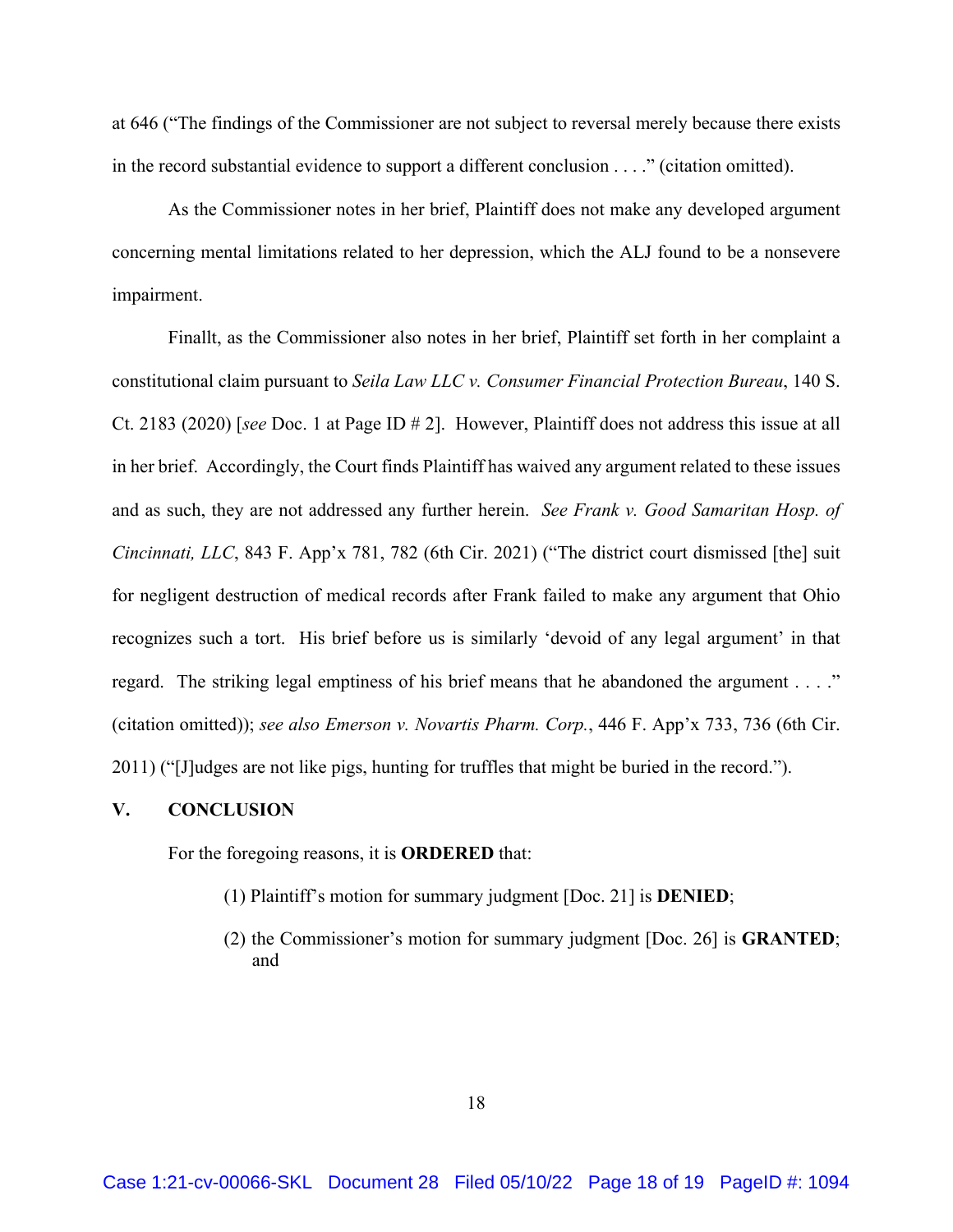at 646 ("The findings of the Commissioner are not subject to reversal merely because there exists in the record substantial evidence to support a different conclusion . . . ." (citation omitted).

 As the Commissioner notes in her brief, Plaintiff does not make any developed argument concerning mental limitations related to her depression, which the ALJ found to be a nonsevere impairment.

Finallt, as the Commissioner also notes in her brief, Plaintiff set forth in her complaint a constitutional claim pursuant to *Seila Law LLC v. Consumer Financial Protection Bureau*, 140 S. Ct. 2183 (2020) [*see* Doc. 1 at Page ID # 2]. However, Plaintiff does not address this issue at all in her brief. Accordingly, the Court finds Plaintiff has waived any argument related to these issues and as such, they are not addressed any further herein. *See Frank v. Good Samaritan Hosp. of Cincinnati, LLC*, 843 F. App'x 781, 782 (6th Cir. 2021) ("The district court dismissed [the] suit for negligent destruction of medical records after Frank failed to make any argument that Ohio recognizes such a tort. His brief before us is similarly 'devoid of any legal argument' in that regard. The striking legal emptiness of his brief means that he abandoned the argument . . . ." (citation omitted)); *see also Emerson v. Novartis Pharm. Corp.*, 446 F. App'x 733, 736 (6th Cir. 2011) ("[J]udges are not like pigs, hunting for truffles that might be buried in the record.").

#### **V. CONCLUSION**

For the foregoing reasons, it is **ORDERED** that:

- (1) Plaintiff's motion for summary judgment [Doc. 21] is **DENIED**;
- (2) the Commissioner's motion for summary judgment [Doc. 26] is **GRANTED**; and